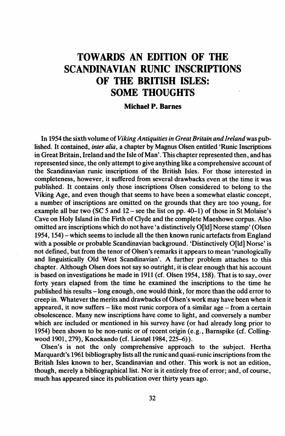## TOWARDS AN EDITION OF THE SCANDINAVIAN RUNIC INSCRIPTIONS OF THE BRITISH ISLES: SOME THOUGHTS

## Michael P. Barnes

In 1954 the sixth volume of*Viking Antiquitiesin Great Britain and Ireland* was published. It contained, *inter alia,* a chapter by Magnus Olsen entitled 'Runic Inscriptions in Great Britain, Ireland and the Isle of Man'. This chapter represented then, and has represented since, the only attempt to give anything like a comprehensive account of the Scandinavian runic inscriptions of the British Jsles. For those interested in completeness, however, it suffered from several drawbacks even at the time it was published. It contains only those inscriptions Olsen considered to belong to the Viking Age, and even though that seems to have been a somewhat elastic concept, a number of inscriptions are omitted on the grounds that they are too young, for example all bar two (SC 5 and 12 - see the list on pp. 40-1) of those in St Molaise's Cave on Holy Island in the Firth of Clyde and the complete Maeshowe corpus. Also omitted are inscriptions which do not have 'a distinctively O[ld] Norse stamp' (Olsen 1954, 154) - which seems to include all the then known runic artefacts from England with a possible or probable Scandinavian background. 'Distinctively O[ld] Norse' is not defined, but from the tenor of Olsen's remarks it appears to mean 'runologically and linguistically Old West Scandinavian'. A further problem attaches to this chapter. Although Olsen does not say so outright, it is clear enough that his account is based on investigations he made in 1911 (cf. Olsen 1954, 158). That is to say, over forty years elapsed from the time he examined the inscriptions to the time he published his results -long enough, one would think, for more than the odd error to creep in. Whatever the merits and drawbacks of Olsen's work may have been when it appeared, it now suffers  $-$  like most runic corpora of a similar age  $-$  from a certain obsolescence. Many new inscriptions have come to light, and conversely a number which are included or mentioned in his survey have (or had already long prior to 1954) been shown to be non-runic or of recent origin (e.g., Barnspike (cf. Collingwood 1901, 279), Knockando (cf. Liestøl 1984, 225-6)).

Olsen's is not the only comprehensive approach to the subject. Hertha Marquardt's 1961 bibliography lists all the runic and quasi-runic inscriptionsfrom the British Isles known to her, Scandinavian and other. This work is not an edition, though, merely a bibliographical list. Nor is it entirely free of error; and, of course, much has appeared since its publication over thirty years ago.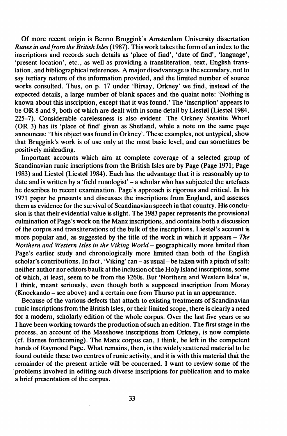Of more recent origin is Benno Bruggink's Amsterdam University dissertation *Runes in and/rom the British Isles* (1987). This work takes the form of an index to the inscriptions and records such details as 'place of find', 'date of find', 'language', 'present location', etc., as well as providing a transliteration, text, English translation, and bibliographical references. A major disadvantage is the secondary, not to say tertiary nature of the information provided, and the limited number of source works consulted. Thus, on p. 17 under 'Birsay, Orkney' we find, instead of the expected details, a large number of blank spaces and the quaint note: 'Nothing is known about this inscription, except that it was found. ' The 'inscription' appears to be OR 8 and 9, both of which are dealt with in some detail by Liestøl (Liestøl 1984, 225-7). Considerable carelessness is also evident. The Orkney Steatite Whorl (OR 3) has its 'place of find' given as Shetland, while a note on the same page announces: 'This object was found in Orkney'. These examples, not untypical, show that Bruggink's work is of use only at the most basic level, and can sometimes be positively misleading.

Important accounts which aim at complete coverage of a selected group of Scandinavian runic inscriptions from the British Isles are by Page (Page 1971; Page 1983) and Liestøl (Liestøl 1984). Each has the advantage that it is reasonably up to date and is written by a 'field runologist' - a scholar who has subjected the artefacts he describes to recent examination. Page's approach is rigorous and critical. In his 1971 paper he presents and discusses the inscriptions from England, and assesses them as evidence for the survival of Scandinavian speech in that country. His conclusion is that their evidential value is slight. The 1983 paper represents the provisional culmination of Page's work on the Manx inscriptions, and contains both a discussion of the corpus and transliterations of the bulk of the inscriptions. Liestel's account is more popular and, as suggested by the title of the work in which it appears - *The Northern and Western Isles in the Viking World* - geographically more limited than Page's earlier study and chronologically more limited than both of the English scholar's contributions. In fact, 'Viking' can - as usual- be taken with a pinch ofsalt: neither author nor editors baulk at the inclusion ofthe Holy Island inscriptions, some of which, at least, seem to be from the 1260s. But 'Northern and Western Isles' is, I think, meant seriously, even though both a supposed inscription from Moray (Knockando - see above) and a certain one from Thurso put in an appearance.

Because of the various defects that attach to existing treatments of Scandinavian runic inscriptions from the British Isles, or their limited scope, there is clearly a need for a modern, scholarly edition of the whole corpus. Over the last five years or so I have been working towards the production ofsuch an edition. The first stage in the process, an account of the Maeshowe inscriptions from Orkney, is now complete (cf. Barnes forthcoming). The Manx corpus can, I think, be left in the competent hands of Raymond Page. What remains, then, is the widely scattered material to be found outside these two centres of runic activity, and it is with this material that the remainder of the present article will be concerned. I want to review some of the problems involved in editing such diverse inscriptions for publication and to make a brief presentation of the corpus.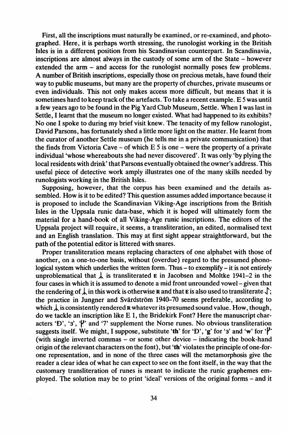First, all the inscriptions must naturally be examined, or re-examined, and photographed. Here, it is perhaps worth stressing, the runologist working in the British Isles is in a different position from his Scandinavian counterpart. In Scandinavia, inscriptions are almost always in the custody of some arm of the State - however extended the arm – and access for the runologist normally poses few problems. A number of British inscriptions, especially those on precious metals, have found their way to public museums, but many are the property of churches, private museums or even individuals. This not only makes access more difficult, but means that it is sometimes hard to keep track of the artefacts. To take a recent example. E 5 was until a few years ago to be found in the Pig Yard Club Museum, Settle. When I was last in Settle, I learnt that the museum no longer existed. What had happened to its exhibits? No one I spoke to during my brief visit knew. The tenacity of my fellow runologist, David Parsons, has fortunately shed a little more light on the matter. He learnt from the curator of another Settle museum (he tells me in a private communication) that the finds from Victoria Cave – of which  $E_2$  is one – were the property of a private individual 'whose whereabouts she had never discovered'. It was only 'by plying the local residents with drink' that Parsons eventually obtained the owner's address. This useful piece of detective work amply illustrates one of the many skills needed by runologists working in the British Isles.

Supposing, however, that the corpus has been examined and the details assembled. How is it to be edited? This question assumes added importance because it is proposed to include the Scandinavian Viking-Age inscriptions from the British Isles in the Uppsala runic data-base, which it is hoped will ultimately form the material for a hand-book of all Viking-Age runic inscriptions. The editors of the Uppsala project will require, it seems, a transliteration, an edited, normalised text and an English translation. This may at first sight appear straightforward, but the path of the potential editor is littered with snares.

Proper transliteration means replacing characters of one alphabet with those of another, on a one-to-one basis, without (overdue) regard to the presumed phonological system which underlies the written form. Thus  $-$  to exemplify  $-$  it is not entirely unproblematical that  $\downarrow$  is transliterated E in Jacobsen and Moltke 1941-2 in the four cases in which it is assumed to denote a mid front unrounded vowel- given that the rendering of  $\downarrow$  in this work is otherwise **R** and that **E** is also used to transliterate  $\downarrow$ ; the practice in Jungner and Svärdström 1940-70 seems preferable, according to which  $\downarrow$  is consistently rendered **R** whatever its presumed sound value. How, though, do we tackle an inscription like E 1, the Bridekirk Font? Here the manuscript characters 'D', '3',  $\mathcal{V}'$  and '7' supplement the Norse runes. No obvious transliteration suggests itself. We might, I suppose, substitute 'th' for 'D', 'g' for '3' and 'w' for ' $\mathbf{f}'$ ' (with single inverted commas – or some other device – indicating the book-hand origin of the relevant characters on the font), but 'th' violates the principle of one-forone representation, and in none of the three cases will the metamorphosis give the reader a clear idea of what he can expect to see on the font itself, in the way that the customary transliteration of runes is meant to indicate the runic graphemes employed. The solution may be to print 'ideal' versions of the original forms - and it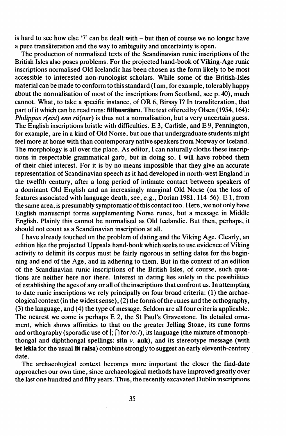is hard to see how else '7' can be dealt with  $-$  but then of course we no longer have a pure transliteration and the way to ambiguity and uncertainty is open.

The production of normalised texts of the Scandinavian runic inscriptions of the British Isles also poses problems. For the projected hand-book of Viking-Age runic inscriptions normalised Old Icelandic has been chosen as the form likely to be most accessible to interested non-runologist scholars. While some of the British-Isles material can be made to conform to thisstandard (I am, for example, tolerably happy about the normalisation of most of the inscriptions from Scotland, see p. 40), much cannot. What, to take a specific instance, of OR 6, Birsay I? In transliteration, that part of it which can be read runs: **filibusranru**. The text offered by Olsen (1954, 164): *Philippus r(eist) enn ru(nar)* is thus not a normalisation, but a very uncertain guess. The English inscriptions bristle with difficulties. E 3, Carlisle, and E 9, Pennington, for example, are in a kind of Old Norse, but one that undergraduate students might feel more at home with than contemporary native speakers from Norway or Iceland. The morphology is all over the place. As editor, I can naturally clothe these inscriptions in respectable grammatical garb, but in doing so, I will have robbed them of their chief interest. For it is by no means impossible that they give an accurate representation of Scandinavian speech as it had developed in north-west England in the twelfth century, after a long period of intimate contact between speakers of a dominant Old English and an increasingly marginal Old Norse (on the loss of features associated with language death, see, e.g., Dorian 1981,114-56). E 1, from the same area, is presumably symptomatic ofthis contact too. Here, we not only have .English manuscript forms supplementing Norse runes, but a message in Middle English. Plainly this cannot be normalised as Old Icelandic. But then, perhaps, it should not count as a Scandinavian inscription at all.

I have already touched on the problem of dating and the Viking Age. Clearly, an edition like the projected Uppsala hand-book which seeks to use evidence of Viking activity to delimit its corpus must be fairly rigorous in setting dates for the beginning and end of the Age, and in adhering to them. But in the context of an edition of the Scandinavian runic inscriptions of the British Isles, of course, such questions are neither here nor there. Interest in dating lies solely in the possibilities of establishing the ages of any or all ofthe inscriptionsthat confront us. In attempting to date runic inscriptions we rely principally on four broad criteria: (1) the archaeological context (in the widest sense), (2) the forms ofthe runes and the orthography, (3) the language, and (4) the type of message. Seldom are all four criteria applicable. The nearest we come is perhaps E 2, the St Paul's Gravestone. Its detailed ornament, which shows affinities to that on the greater Jelling Stone, its rune forms and orthography (sporadic use of  $\frac{1}{2}$ ;  $\int$  for  $\frac{1}{2}$ ), its language (the mixture of monophthongal and diphthongal spellings: stin *v.* auk), and its stereotype message (with let lekia for the usual lit raisa) combine strongly to suggest an early eleventh-century date.

The archaeological context becomes more important the closer the find-date approaches our own time, since archaeological methods have improved greatly over the last one hundred and fifty years. Thus, the recently excavated Dublin inscriptions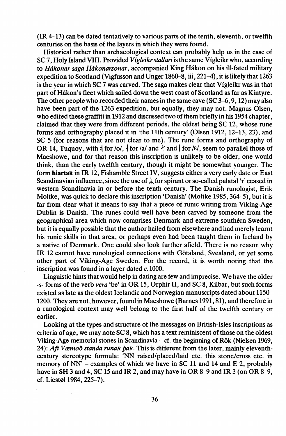(IR 4-13) can be dated tentatively to various parts of the tenth, eleventh, or twelfth centuries on the basis of the layers in which they were found.

Historical rather than archaeological context can probably help us in the case of se 7, Holy Island VIII. Provided *Vigleikrstallari* isthe same Vigleikr who, according to *Hákonar saga Hákonarsonar*, accompanied King Hákon on his ill-fated military expedition to Scotland (Vigfusson and Unger  $1860-\overline{8}$ , iii, 221-4), it is likely that 1263 is the year in which  $SC$  7 was carved. The saga makes clear that Vigleikr was in that part of Hakon's fleet which sailed down the west coast of Scotland as far as Kintyre. The other people who recorded their names in the same cave (SC  $3-6, 9, 12$ ) may also have been part of the 1263 expedition, but equally, they may not. Magnus Olsen, who edited these graffiti in 1912 and discussed two of them briefly in his 1954 chapter, claimed that they were from different periods, the oldest being  $SC 12$ , whose rune forms and orthography placed it in 'the 11th century' (Olsen 1912, 12-13, 23), and SC 5 (for reasons that are not clear to me). The rune forms and orthography of OR 14, Tuquoy, with  $\frac{1}{4}$  for  $\frac{1}{4}$  for  $\frac{1}{4}$  and  $\frac{1}{4}$  and  $\frac{1}{4}$  for  $\frac{1}{2}$ , seem to parallel those of Maeshowe, and for that reason this inscription is unlikely to be older, one would think, than the early twelfth century, though it might be somewhat younger. The form hiartar in IR 12, Fishamble Street IV, suggests either a very early date or East Scandinavian influence, since the use of  $\downarrow$  for spirant or so-called palatal 'r' ceased in western Scandinavia in or before the tenth century. The Danish runologist, Erik Moltke, was quick to declare this inscription 'Danish' (Moltke 1985, 364-5), but it is far from clear what it means to say that a piece of runic writing from Viking-Age Dublin is Danish. The runes could well have been carved by someone from the geographical area which now comprises Denmark and extreme southern Sweden, but it is equally possible that the author hailed from elsewhere and had merely learnt his runic skills in that area, or perhaps even had been taught them in Ireland by a native of Denmark. One could also look further afield. There is no reason why IR 12 cannot have runological connections with Gotaland, Svealand, or yet some other part of Viking-Age Sweden. For the record, it is worth noting that the inscription was found in a layer dated  $c.1000$ .

Linguistic hints that would help in dating are few and imprecise. We have the older -s- forms of the verb *vera* 'be' in OR 15, Orphir II, and SC 8, Kilbar, but such forms existed as late as the oldest Icelandic and Norwegian manuscripts dated about 1150- 1200. They are not, however, found in Maeshowe (Barnes 1991,81), and therefore in a runological context may well belong to the first half of the twelfth century or earlier.

Looking at the types and structure of the messages on British-Isles inscriptions as criteria of age, we may note  $SC8$ , which has a text reminiscent of those on the oldest Viking-Age memorial stones in Scandinavia - cf. the beginning of Rok (Nielsen 1969, 24): *Aft Væmoð standa runaR þaR.* This is different from the later, mainly eleventhcentury stereotype formula: 'NN raised/placed/laid etc. this stone/cross etc. in memory of NN' – examples of which we have in SC 11 and 14 and E 2, probably have in SH 3 and 4, SC 15 and IR 2, and may have in OR 8-9 and IR 3 (on OR 8-9, cf. Liestøl 1984, 225-7).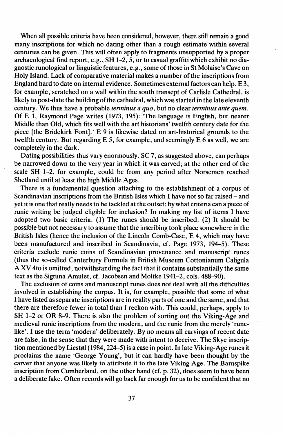When all possible criteria have been considered, however, there still remain a good many inscriptions for which no dating other than a rough estimate within several centuries can be given. This will often apply to fragments unsupported by a proper archaeological find report, e.g., SH  $1-2, 5$ , or to casual graffiti which exhibit no diagnostic runological or linguistic features, e.g., some of those in St Molaise's Cave on Holy Island. Lack of comparative material makes a number ofthe inscriptions from England hard to date on internal evidence. Sometimes external factors can help. E 3, for example, scratched on a wall within the south transept of Carlisle Cathedral, is likely to post-date the building of the cathedral, which was started in the late eleventh century. We thus have a probable *terminus a quo,* but no clear *terminus ante quem.* Of E 1, Raymond Page writes (1973, 195): 'The language is English, but nearer Middle than Old, which fits well with the art historians' twelfth century date for the piece [the Bridekirk Font].' E 9 is likewise dated on art-historical grounds to the twelfth century. But regarding  $E$  5, for example, and seemingly  $E$  6 as well, we are completely in the dark.

Dating possibilities thus vary enormously. SC 7, as suggested above, can perhaps be narrowed down to the very year in which it was carved; at the other end of the scale SH  $1-2$ , for example, could be from any period after Norsemen reached Shetland until at least the high Middle Ages.

There is a fundamental question attaching to the establishment of a corpus of Scandinavian inscriptions from the British Isles which I have not so far raised – and yet it is one that really needs to be tackled at the outset: by what criteria can a piece of runic writing be judged eligible for inclusion? In making my list of items I have adopted two basic criteria. (1) The runes should be inscribed. (2) It should be possible but not necessary to assume that the inscribing took place somewhere in the British Isles (hence the inclusion of the Lincoln Comb-Case, E 4, which may have been manufactured and inscribed in Scandinavia, cf. Page 1973, 194-5). These criteria exclude runic coins of Scandinavian provenance and manuscript runes (thus the so-called Canterbury Formula in British Museum Cottonianum Caligula A XV 4to is omitted, notwithstanding the fact that it contains substantially the same text as the Sigtuna Amulet, cf. Jacobsen and Moltke 1941-2, cols. 488-90).

The exclusion of coins and manuscript runes does not deal with all the difficulties involved in establishing the corpus. It is, for example, possible that some of what I have listed as separate inscriptions are in reality parts of one and the same, and that there are therefore fewer in total than I reckon with. This could, perhaps, apply to SH 1-2 or OR 8-9. There is also the problem of sorting out the Viking-Age and medieval runic inscriptions from the modern, and the runic from the merely 'runelike'. I use the term 'modern' deliberately. By no means all carvings of recent date are false, in the sense that they were made with intent to deceive. The Skye inscription mentioned by Liestøl (1984, 224–5) is a case in point. In late Viking-Age runes it proclaims the name 'George Young', but it can hardly have been thought by the carver that anyone was likely to attribute it to the late Viking Age. The Barnspike inscription from Cumberland, on the other hand (cf. p. 32), does seem to have been a deliberate fake. Often records will go back far enough for us to be confident that no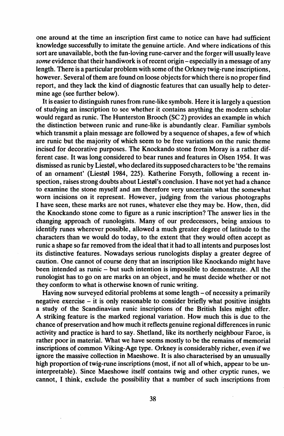one around at the time an inscription first came to notice can have had sufficient knowledge successfully to imitate the genuine article. And where indications of this sort are unavailable, both the fun-loving rune-carver and the forger will usually leave some evidence that their handiwork is of recent origin - especially in a message of any length. There is a particular problem with some of the Orkney twig-rune inscriptions, however. Several of them are found on loose objects for which there is no proper find report, and they lack the kind of diagnostic features that can usually help to determine age (see further below). .

It is easier to distinguish runes from rune-like symbols. Here it is largely a question of studying an inscription to see whether it contains anything the modern scholar would regard as runic. The Hunterston Brooch (SC 2) provides an example in which the distinction between runic and rune-like is abundantly clear. Familiar symbols which transmit a plain message are followed by a sequence of shapes, a few of which are runic but the majority of which seem to be free variations on the runic theme incised for decorative purposes. The Knockando stone from Moray is a rather different case. It was long considered to bear runes and features in Olsen 1954. It was dismissed as runic by Liestøl, who declared its supposed characters to be 'the remains of an ornament' (Liestøl 1984, 225). Katherine Forsyth, following a recent inspection, raises strong doubts about Liestøl's conclusion. I have not yet had a chance to examine the stone myself and am therefore very uncertain what the somewhat worn incisions on it represent. However, judging from the various photographs I have seen, these marks are not runes, whatever else they may be. How, then, did the Knockando stone come to figure as a runic inscription? The answer lies in the changing approach of runologists. Many of our predecessors, being anxious to identify runes wherever possible, allowed a much greater degree of latitude to the characters than we would do today, to the extent that they would often accept as runic a shape so far removed from the ideal that it had to all intents and purposes lost its distinctive features. Nowadays serious runologists display a greater degree of caution. One cannot of course deny that an inscription like Knockando might have been intended as runic - but such intention is impossible to demonstrate. All the runologist has to go on are marks on an object, and he must decide whether or not they conform to what is otherwise known of runic writing.

Having now surveyed editorial problems at some length – of necessity a primarily negative exercise - it is only reasonable to consider briefly what positive insights a study of the Scandinavian runic inscriptions of the British Isles might offer. A striking feature is the marked regional variation. How much this is due to the chance of preservation and how much it reflects genuine regional differences in runic activity and practice is hard to say. Shetland, like its northerly neighbour Faroe, is rather poor in material. What we have seems mostly to be the remains of memorial inscriptions of common Viking-Age type. Orkney is considerably richer, even if we ignore the massive collection in Maeshowe. It is also characterised by an unusually high proportion of twig-rune inscriptions (most, if not all of which, appear to be uninterpretable). Since Maeshowe itself contains twig and other cryptic runes, we cannot, I think, exclude the possibility that a number of such inscriptions from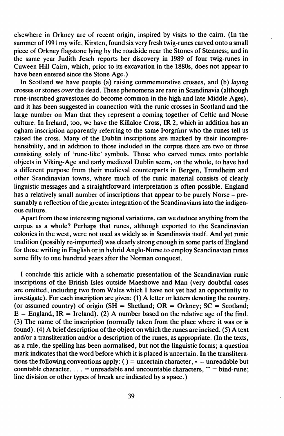elsewhere in Orkney are of recent origin, inspired by visits to the cairn. (In the summer of 1991 my wife, Kirsten, found six very fresh twig-runes carved onto a small piece of Orkney flagstone lying by the roadside near the Stones of Stenness; and in the same year Judith Jesch reports her discovery in 1989 of four twig-runes in Cuween Hill Cairn, which, prior to its excavation in the 1880s, does not appear to have been entered since the Stone Age.)

In Scotland we have people (a) raising commemorative crosses, and (b) *laying* crosses or stones *over*the dead. These phenomena are rare in Scandinavia (although rune-inscribed gravestones do become common in the high and late Middle Ages), and it has been suggested in connection with the runic crosses in Scotland and the large number on Man that they represent a coming together of Celtic and Norse culture. In Ireland, too, we have the Killaloe Cross, IR 2, which in addition has an ogham inscription apparently referring to the same Porgrimr who the runes tell us raised the cross. Many of the Dublin inscriptions are marked by their incomprehensibility, and in addition to those included in the corpus there are two or three consisting solely of 'rune-like' symbols. Those who carved runes onto portable objects in Viking-Age and early medieval Dublin seem, on the whole, to have had a different purpose from their medieval counterparts in Bergen, Trondheim and other Scandinavian towns, where much of the runic material consists of clearly linguistic messages and a straightforward interpretation is often possible. England has a relatively small number of inscriptions that appear to be purely Norse – presumably a reflection of the greater integration of the Scandinavians into the indigenous culture.

Apart from these interesting regional variations, can we deduce anything from the corpus as a whole? Perhaps that runes, although exported to the Scandinavian colonies in the west, were not used as widely as in Scandinavia itself. And yet runic tradition (possibly re-imported) was clearly strong enough in some parts of England for those writing in English or in hybrid Anglo-Norse to employ Scandinavian runes some fifty to one hundred years after the Norman conquest.

I conclude this article with a schematic presentation of the Scandinavian runic inscriptions of the British Isles outside Maeshowe and Man (very doubtful cases are omitted, including two from Wales which I have not yet had an opportunity to investigate). For each inscription are given: (1) A letter or letters denoting the country. (or assumed country) of origin (SH = Shetland; OR = Orkney;  $SC = Scotland$ ;  $E =$  England; IR = Ireland). (2) A number based on the relative age of the find. (3) The name of the inscription (normally taken from the place where it was or is found). (4) A brief description of the object on which the runes are incised. (5) A text and/or a transliteration and/or a description of the runes, as appropriate. (In the texts, as a rule, the spelling has been normalised, but not the linguistic forms; a question mark indicates that the word before which it is placed is uncertain. In the transliterations the following conventions apply: ( ) = uncertain character,  $* =$  unreadable but countable character,  $\ldots$  = unreadable and uncountable characters,  $\widehat{\phantom{a}}$  = bind-rune; line division or other types of break are indicated by a space.)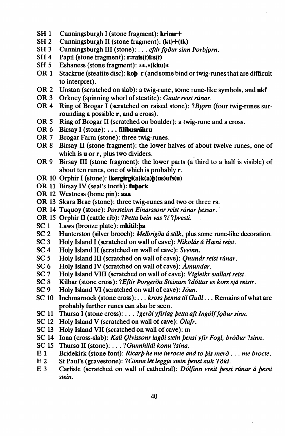- $SH<sub>1</sub>$ Cunningsburgh I (stone fragment): krimr+
- $SH<sub>2</sub>$ Cunningsburgh II (stone fragment):  $(kt)+(tk)$
- $SH<sub>3</sub>$ Cunningsburgh III (stone): . . . eftir foður sinn Porbjorn.
- SH<sub>4</sub> Papil (stone fragment): r:rais(t)i:s(t)
- $SH<sub>5</sub>$ Eshaness (stone fragment): \*\*.\*(kku)\*
- OR 1 Stackrue (steatite disc): kob r (and some bind or twig-runes that are difficult to interpret).
- OR<sub>2</sub> Unstan (scratched on slab): a twig-rune, some rune-like symbols, and ukf
- OR 3 Orkney (spinning whorl of steatite): Gautr reist rúnar.
- OR 4 Ring of Brogar I (scratched on raised stone): ?Bjorn (four twig-runes surrounding a possible r, and a cross).
- OR 5 Ring of Brogar II (scratched on boulder): a twig-rune and a cross.
- OR 6 Birsay I (stone): ... filibusranru
- OR 7 Brogar Farm (stone): three twig-runes.
- OR 8 Birsay II (stone fragment): the lower halves of about twelve runes, one of which is **u** or **r**, plus two dividers.
- OR 9 Birsay III (stone fragment): the lower parts (a third to a half is visible) of about ten runes, one of which is probably r.
- OR 10 Orphir I (stone): ikergirgi(a) $k(a)b(us)ufs(u)$
- OR 11 Birsay IV (seal's tooth): fubork
- OR 12 Westness (bone pin): aaa
- OR 13 Skara Brae (stone): three twig-runes and two or three rs.
- OR 14 Tuquoy (stone): Porsteinn Einarssonr reist rúnar bessar.
- OR 15 Orphir II (cattle rib): ?Petta bein vas ?í ?bvesti.
- $SC<sub>1</sub>$ Laws (bronze plate): mkitil:ba
- Hunterston (silver brooch): Melbrigða á stilk, plus some rune-like decoration.  $SC<sub>2</sub>$
- $SC<sub>3</sub>$ Holy Island I (scratched on wall of cave): Nikolás á Hæni reist.
- $SC<sub>4</sub>$ Holy Island II (scratched on wall of cave): Sveinn.
- $SC<sub>5</sub>$ Holy Island III (scratched on wall of cave): Onundr reist rúnar.
- Holy Island IV (scratched on wall of cave): Amundar.  $SC<sub>6</sub>$
- SC<sub>7</sub> Holy Island VIII (scratched on wall of cave): Vígleikr stallari reist.
- $SC<sub>8</sub>$ Kilbar (stone cross): ? Eftir Porgerðu Steinars ? dóttur es kors sjá reistr.
- $SC<sub>9</sub>$ Holy Island VI (scratched on wall of cave): Jóan.
- SC 10 Inchmarnock (stone cross): . . . kross benna til Guðl... Remains of what are probably further runes can also be seen.
- SC 11 Thurso I (stone cross): . . . ?gerði yfirlag betta aft Ingólf foður sinn.
- SC 12 Holy Island V (scratched on wall of cave):  $\acute{O}$ lafr.
- SC 13 Holy Island VII (scratched on wall of cave): m
- SC 14 Iona (cross-slab): Kali Qlvissonr lagði stein þensi yfir Fogl, bróður ?sinn.
- SC 15 Thurso II (stone): . . . ? Gunnhildi konu ?sína.
- $E<sub>1</sub>$ Bridekirk (stone font): Ricarb he me iwrocte and to bis merð . . . me brocte.
- $E<sub>2</sub>$ St Paul's (gravestone): ?Ginna lét leggia stein bensi auk Tóki.
- $E<sub>3</sub>$ Carlisle (scratched on wall of cathedral): Dólfinn vreit bessi rúnar á bessi stein.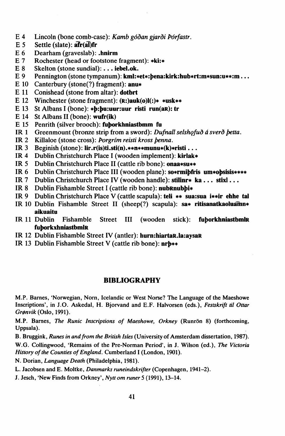- $E.4$ Lincoln (bone comb-case): Kamb góðan gjarði Þórfastr.
- $E<sub>5</sub>$ Settle (slate): afr(al)fr
- E 6 Dearham (graveslab): .hnirm
- $E.7$ Rochester (head or footstone fragment): \*ki:\*
- F 8 Skelton (stone sundial): . . . iebel.ok.
- E 9 Pennington (stone tympanum): kml:\*et\*:pena:kirk:hub\*rt:m\*sun:u\*\*:m...
- E 10 Canterbury (stone(?) fragment): anu\*
- E 11 Conishead (stone from altar): dotbrt
- E 12 Winchester (stone fragment):  $(R$ :)auk(o) $I($ :)\* \*usk\*\*
- E 13 St Albans I (bone): \*b:bu:uur:uur risti run(aR): tr
- E 14 St Albans II (bone): wufr(ik)
- E 15 Penrith (silver brooch): fuborkhniastbmm fu
- Greenmount (bronze strip from a sword): Dufnall selshofuð á sverð betta.  $IR<sub>1</sub>$
- Killaloe (stone cross): Porgrím reisti kross benna.  $IR<sub>2</sub>$
- $IR<sub>3</sub>$ Beginish (stone):  $\text{lir.r}(i\text{s})\text{ti}.\text{sti}(n).***$ munu $\text{*}(k)\text{*risti}$ ...
- Dublin Christchurch Place I (wooden implement): kirlak\* IR  $4$
- IR  $5$ Dublin Christchurch Place II (cattle rib bone): onaa\*su\*\*
- Dublin Christchurch Place III (wooden plane): so\*rmibfris um\*obsisis\*\*\*\* IR 6
- $IR<sub>7</sub>$ Dublin Christchurch Place IV (wooden handle): stilinr\* ka... stixl...
- **IR 8** Dublin Fishamble Street I (cattle rib bone): nubRnubbi\*
- Dublin Christchurch Place V (cattle scapula): teli \*\* sua:sua i\*\*ir ehhe tal **IR** 9
- IR 10 Dublin Fishamble Street II (sheep(?) scapula): sa\* ritisanatkaoluamn\* aikuaitu
- IR 11 Dublin Fishamble **Street**  $III$ (wooden stick): fuborkhniastbmlR fuborkxhniastbmlR
- IR 12 Dublin Fishamble Street IV (antler): hurn:hiartaR.la:aysaR
- IR 13 Dublin Fishamble Street V (cattle rib bone): nrb\*\*

## **BIBLIOGRAPHY**

M.P. Barnes, 'Norwegian, Norn, Icelandic or West Norse? The Language of the Maeshowe Inscriptions', in J.O. Askedal, H. Biorvand and E.F. Halvorsen (eds.), Festskrift til Ottar Grønvik (Oslo, 1991).

M.P. Barnes, The Runic Inscriptions of Maeshowe, Orkney (Runrön 8) (forthcoming, Uppsala).

B. Bruggink, Runes in and from the British Isles (University of Amsterdam dissertation, 1987).

W.G. Collingwood, 'Remains of the Pre-Norman Period', in J. Wilson (ed.), The Victoria History of the Counties of England. Cumberland I (London, 1901).

N. Dorian, Language Death (Philadelphia, 1981).

L. Jacobsen and E. Moltke, Danmarks runeindskrifter (Copenhagen, 1941-2).

J. Jesch, 'New Finds from Orkney', Nytt om runer 5 (1991), 13-14.